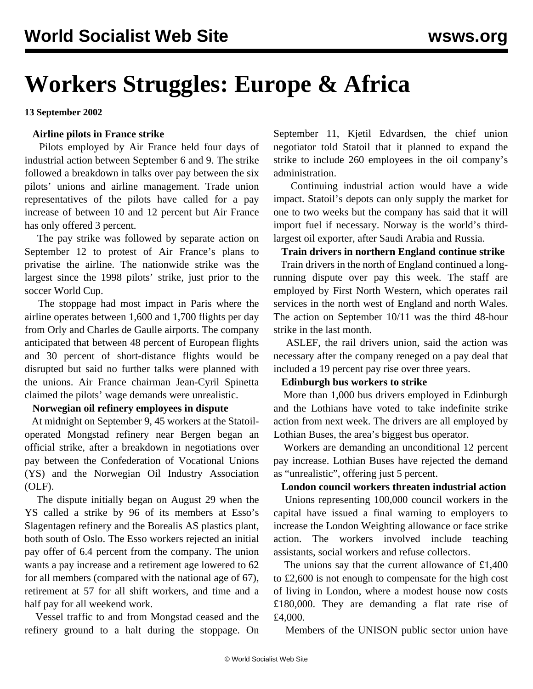# **Workers Struggles: Europe & Africa**

**13 September 2002**

#### **Airline pilots in France strike**

 Pilots employed by Air France held four days of industrial action between September 6 and 9. The strike followed a breakdown in talks over pay between the six pilots' unions and airline management. Trade union representatives of the pilots have called for a pay increase of between 10 and 12 percent but Air France has only offered 3 percent.

 The pay strike was followed by separate action on September 12 to protest of Air France's plans to privatise the airline. The nationwide strike was the largest since the 1998 pilots' strike, just prior to the soccer World Cup.

 The stoppage had most impact in Paris where the airline operates between 1,600 and 1,700 flights per day from Orly and Charles de Gaulle airports. The company anticipated that between 48 percent of European flights and 30 percent of short-distance flights would be disrupted but said no further talks were planned with the unions. Air France chairman Jean-Cyril Spinetta claimed the pilots' wage demands were unrealistic.

#### **Norwegian oil refinery employees in dispute**

 At midnight on September 9, 45 workers at the Statoiloperated Mongstad refinery near Bergen began an official strike, after a breakdown in negotiations over pay between the Confederation of Vocational Unions (YS) and the Norwegian Oil Industry Association (OLF).

 The dispute initially began on August 29 when the YS called a strike by 96 of its members at Esso's Slagentagen refinery and the Borealis AS plastics plant, both south of Oslo. The Esso workers rejected an initial pay offer of 6.4 percent from the company. The union wants a pay increase and a retirement age lowered to 62 for all members (compared with the national age of 67), retirement at 57 for all shift workers, and time and a half pay for all weekend work.

 Vessel traffic to and from Mongstad ceased and the refinery ground to a halt during the stoppage. On September 11, Kjetil Edvardsen, the chief union negotiator told Statoil that it planned to expand the strike to include 260 employees in the oil company's administration.

 Continuing industrial action would have a wide impact. Statoil's depots can only supply the market for one to two weeks but the company has said that it will import fuel if necessary. Norway is the world's thirdlargest oil exporter, after Saudi Arabia and Russia.

#### **Train drivers in northern England continue strike**

 Train drivers in the north of England continued a longrunning dispute over pay this week. The staff are employed by First North Western, which operates rail services in the north west of England and north Wales. The action on September 10/11 was the third 48-hour strike in the last month.

 ASLEF, the rail drivers union, said the action was necessary after the company reneged on a pay deal that included a 19 percent pay rise over three years.

#### **Edinburgh bus workers to strike**

 More than 1,000 bus drivers employed in Edinburgh and the Lothians have voted to take indefinite strike action from next week. The drivers are all employed by Lothian Buses, the area's biggest bus operator.

 Workers are demanding an unconditional 12 percent pay increase. Lothian Buses have rejected the demand as "unrealistic", offering just 5 percent.

#### **London council workers threaten industrial action**

 Unions representing 100,000 council workers in the capital have issued a final warning to employers to increase the London Weighting allowance or face strike action. The workers involved include teaching assistants, social workers and refuse collectors.

 The unions say that the current allowance of £1,400 to £2,600 is not enough to compensate for the high cost of living in London, where a modest house now costs £180,000. They are demanding a flat rate rise of £4,000.

Members of the UNISON public sector union have